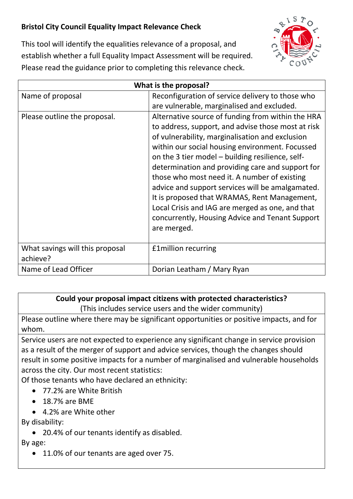## **Bristol City Council Equality Impact Relevance Check**



This tool will identify the equalities relevance of a proposal, and establish whether a full Equality Impact Assessment will be required. Please read the guidance prior to completing this relevance check.

| What is the proposal?                       |                                                                                                                                                                                                                                                                                                                                                                                                                                                                                                                                                                                                 |
|---------------------------------------------|-------------------------------------------------------------------------------------------------------------------------------------------------------------------------------------------------------------------------------------------------------------------------------------------------------------------------------------------------------------------------------------------------------------------------------------------------------------------------------------------------------------------------------------------------------------------------------------------------|
| Name of proposal                            | Reconfiguration of service delivery to those who<br>are vulnerable, marginalised and excluded.                                                                                                                                                                                                                                                                                                                                                                                                                                                                                                  |
| Please outline the proposal.                | Alternative source of funding from within the HRA<br>to address, support, and advise those most at risk<br>of vulnerability, marginalisation and exclusion<br>within our social housing environment. Focussed<br>on the 3 tier model – building resilience, self-<br>determination and providing care and support for<br>those who most need it. A number of existing<br>advice and support services will be amalgamated.<br>It is proposed that WRAMAS, Rent Management,<br>Local Crisis and IAG are merged as one, and that<br>concurrently, Housing Advice and Tenant Support<br>are merged. |
| What savings will this proposal<br>achieve? | £1million recurring                                                                                                                                                                                                                                                                                                                                                                                                                                                                                                                                                                             |
| Name of Lead Officer                        | Dorian Leatham / Mary Ryan                                                                                                                                                                                                                                                                                                                                                                                                                                                                                                                                                                      |

## **Could your proposal impact citizens with protected characteristics?**

(This includes service users and the wider community)

Please outline where there may be significant opportunities or positive impacts, and for whom.

Service users are not expected to experience any significant change in service provision as a result of the merger of support and advice services, though the changes should result in some positive impacts for a number of marginalised and vulnerable households across the city. Our most recent statistics:

Of those tenants who have declared an ethnicity:

- 77.2% are White British
- 18.7% are BME
- 4.2% are White other

By disability:

• 20.4% of our tenants identify as disabled.

By age:

• 11.0% of our tenants are aged over 75.